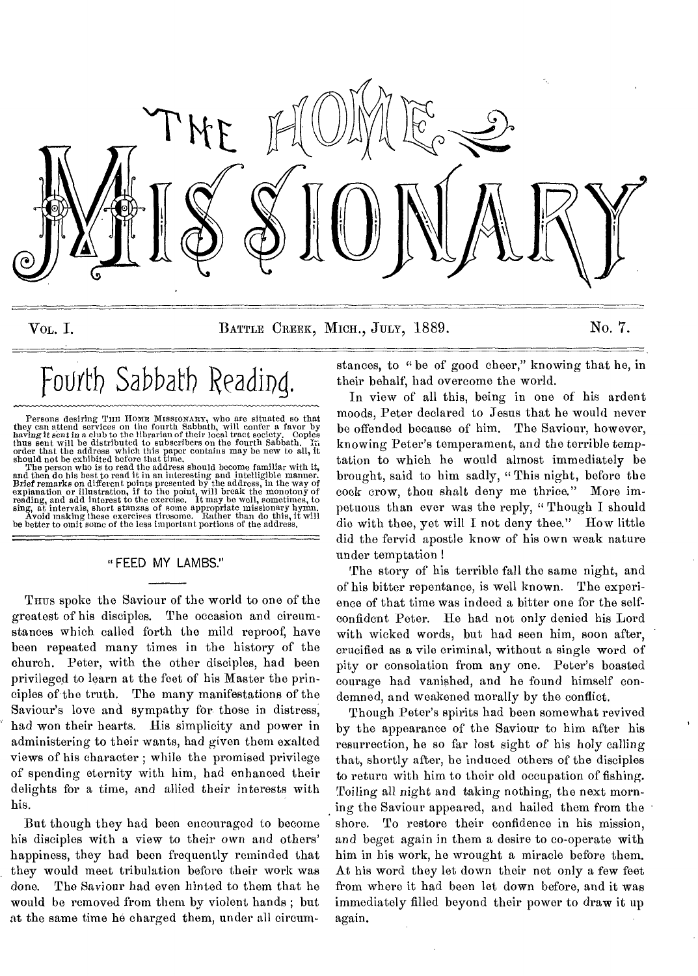

VOL. I. BATTLE CREEK, MICH., JULY, 1889. No. 7.

# Fourth Sabbath Reading.

Persons desiring THE HOME MISSIONARY, who are situated so that<br>they can attend services on the fourth Sabbath, will confer a favor by<br>having it sent in a club to the librarian of their local tract society. Copies<br>thus sent

and then do his best to read it in an interesting and intelligible manner.<br>Brief remarks on different points presented by the address, in the way of<br>explanation or illustration, if to the point, will break the monotony of<br> be better to omit some of the less important portions of the address.

## FEED MY LAMBS."

THUS spoke the Saviour of the world to one of the greatest of his disciples. The occasion and circumstances which called forth the mild reproof, have been repeated many times in the history of the church. Peter, with the other disciples, had been privileged to learn at the feet of his Master the principles of the truth. The many manifestations of the Saviour's love and sympathy for those in distress, had won their hearts. His simplicity and power in administering to their wants, had given them exalted views of his character ; while the promised privilege of spending eternity with him, had enhanced their delights for a time, and allied their interests with his.

But though they had been encouraged to become his disciples with a view to their own and others' happiness, they had been frequently reminded that they would meet tribulation before their work was done. The Saviour had even hinted to them that he would be removed from them by violent hands ; but at the same time he charged them, under all circumstances, to "be of good cheer," knowing that he, in their behalf, had overcome the world.

In view of all this, being in one of his ardent moods, Peter declared to Jesus that he would never be offended because of him. The Saviour, however, knowing Peter's temperament, and the terrible temptation to which he would almost immediately be brought, said to him sadly, "This night, before the cock crow, thou shalt deny me thrice." More impetuous than ever was the reply, " Though I should die with thee, yet will I not deny thee." How little did the fervid apostle know of his own weak nature under temptation

The story of his terrible fall the same night, and of his bitter repentance, is well known. The experience of that time was indeed a bitter one for the selfconfident Peter. He had not only denied his Lord with wicked words, but had seen him, soon after, crucified as a vile criminal, without a single word of pity or consolation from any one. Peter's boasted courage had vanished, and he found himself condemned, and weakened morally by the conflict.

Though Peter's spirits had been somewhat revived by the appearance of the Saviour to him after his resurrection, he so far lost sight of his holy calling that, shortly after, he induced others of the disciples to return with him to their old occupation of fishing. Toiling all night and taking nothing, the next morning the Saviour appeared, and hailed them from the shore. To restore their confidence in his mission, and beget again in them a desire to co-operate with him in his work, he wrought a miracle before them. At his word they let down their net only a few feet from where it had been let down before, and it was immediately filled beyond their power to draw it up again.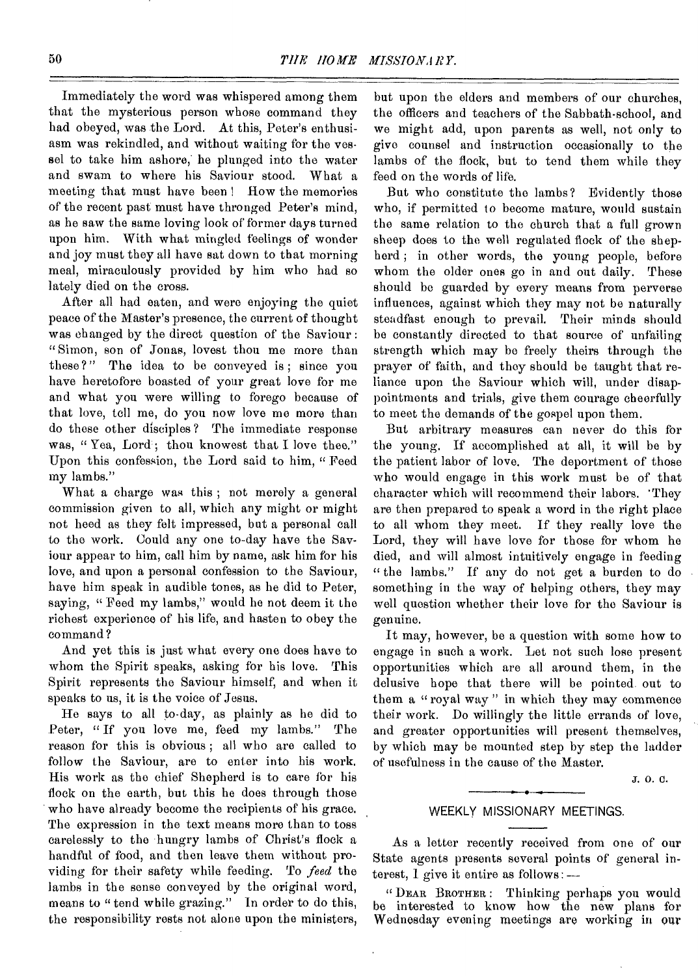Immediately the word was whispered among them that the mysterious person whose command they had obeyed, was the Lord. At this, Peter's enthusiasm was rekindled, and without waiting for the vessel to take him ashore, he plunged into the water and swam to where his Saviour stood. What a meeting that must have been! How the memories of the recent past must have thronged Peter's mind, as he saw the same loving look of former days turned upon him. With what mingled feelings of wonder and joy must they all have sat down to that morning meal, miraculously provided by him who had so lately died on the cross.

After all had eaten, and were enjoying the quiet peace of the Master's presence, the current of thought was changed by the direct question of the Saviour : " Simon, son of Jonas, lovest thou me more than these ?" The idea to be conveyed is ; since you have heretofore boasted of your great love for me and what you were willing to forego because of that love, tell me, do you now love me more than do these other disciples ? The immediate response was, " Yea, Lord'; thou knowest that I love thee." Upon this confession, the Lord said to him, " Feed my lambs."

What a charge was this ; not merely a general commission given to all, which any might or might not heed as they felt impressed, but a personal call to the work. Could any one to-day have the Saviour appear to him, call him by name, ask him for his love, and upon a personal confession to the Saviour, have him speak in audible tones, as he did to Peter, saying, " Feed my lambs," would he not deem it the richest experience of his life, and hasten to obey the command?

And yet this is just what every one does have to whom the Spirit speaks, asking for his love. This Spirit represents the Saviour himself, and when it speaks to us, it is the voice of Jesus.

He says to all to-day, as plainly as he did to Peter, "If you love me, feed my lambs." The reason for this is obvious ; all who are called to follow the Saviour, are to enter into his work. His work as the chief Shepherd is to care for his flock on the earth, but this he does through those who have already become the recipients of his grace. The expression in the text means more than to toss carelessly to the hungry lambs of Christ's flock a handful of food, and then leave them without providing for their safety while feeding. To *feed* the lambs in the sense conveyed by the original word, means to "tend while grazing." In order to do this, the responsibility rests not alone upon the ministers,

but upon the elders and members of our churches, the officers and teachers of the Sabbath-school, and we might add, upon parents as well, not only to give counsel and instruction occasionally to the lambs of the flock, but to tend them while they feed on the words of life.

But who constitute the lambs? Evidently those who, if permitted to become mature, would sustain the same relation to the church that a full grown sheep does to the well regulated flock of the shepherd ; in other words, the young people, before whom the older ones go in and out daily. These should be guarded by every means from perverse influences, against which they may not be naturally steadfast enough to prevail. Their minds should be constantly directed to that source of unfailing strength which may be freely theirs through the prayer of faith, and they should be taught that reliance upon the Saviour which will, under disappointments and trials, give them courage cheerfully to meet the demands of the gospel upon them.

But arbitrary measures can never do this for the young. If accomplished at all, it will be by the patient labor of love. The deportment of those who would engage in this work must be of that character which will recommend their labors. 'They are then prepared to speak a word in the right place to all whom they meet. If they really love the Lord, they will have love for those for whom he died, and will almost intuitively engage in feeding " the lambs." If any do not get a burden to do something in the way of helping others, they may well question whether their love for the Saviour is genuine.

It may, however, be a question with some how to engage in such a work. Let not such lose present opportunities which are all around them, in the delusive hope that there will be pointed out to them a "royal way" in which they may commence their work. Do willingly the little errands of love, and greater opportunities will present themselves, by which may be mounted step by step the ladder of usefulness in the cause of the Master.

J. 0. C.

#### WEEKLY MISSIONARY MEETINGS.

As a letter recently received from one of our State agents presents several points of general interest, 1 give it entire as follows: —

" DEAR BROTHER : Thinking perhaps you would be interested to know how the new plans for Wednesday evening meetings are working in our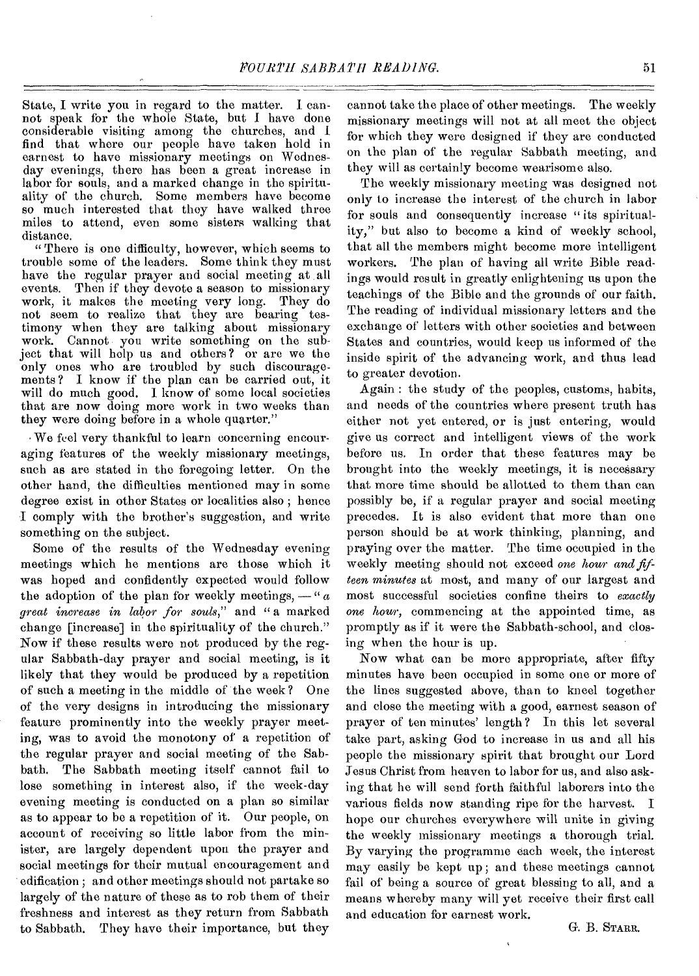State, I write you in regard to the matter. I cannot speak for the whole State, but I have done considerable visiting among the churches, and I find that where our people have taken hold in earnest to have missionary meetings on Wednesday evenings, there has been a great increase in labor for souls, and a marked change in the spirituality of the church. Some members have become so much interested that they have walked three miles to attend, even some sisters walking that distance.

" There is ono difficulty, however, which seems to trouble some of the leaders. Some think they must have the regular prayer and social meeting at all events. Then if they devote a season to missionary work, it makes the meeting very long. They do not seem to realize that they are bearing testimony when they are talking about missionary work. Cannot you write something on the subject that will help us and others? or are we the only ones who are troubled by such discouragements ? I know if the plan can be carried out, it will do much good. I know of some local societies that are now doing more work in two weeks than they were doing before in a whole quarter."

We feel very thankful to learn concerning encouraging features of the weekly missionary meetings, such as are stated in the foregoing letter. On the other hand, the difficulties mentioned may in some degree exist in other States or localities also ; hence I comply with the brother's suggestion, and write something on the subject.

Some of the results of the Wednesday evening meetings which he mentions are those which it was hoped and confidently expected would follow the adoption of the plan for weekly meetings,  $-\alpha$ *great increase in labor for souls,"* and " a marked change [increase] in the spirituality of the church." Now if these results were not produced by the regular Sabbath-day prayer and social meeting, is it likely that they would be produced by a repetition of such a meeting in the middle of the week? One of the very designs in introducing the missionary feature prominently into the weekly prayer meeting, was to avoid the monotony of a repetition of the regular prayer and social meeting of the Sabbath. The Sabbath meeting itself cannot fail to lose something in interest also, if the week-day evening meeting is conducted on a plan so similar as to appear to be a repetition of it. Our people, on account of receiving so little labor from the minister, are largely dependent upon the prayer and social meetings for their mutual encouragement and edification ; and other meetings should not partake so largely of the nature of these as to rob them of their freshness and interest as they return from Sabbath to Sabbath. They have their importance, but they

cannot take the place of other meetings. The weekly missionary meetings will not at all meet the object for which they were designed if they are conducted on the plan of the regular Sabbath meeting, and they will as certainly become wearisome also.

The weekly missionary meeting was designed not only to increase the interest of the church in labor for souls and consequently increase "its spirituality," but also to become a kind of weekly school, that all the members might become more intelligent workers. The plan of having all write Bible readings would result in greatly enlightening us upon the teachings of the Bible and the grounds of our faith. The reading of individual missionary letters and the exchange of letters with other societies and between States and countries, would keep us informed of the inside spirit of the advancing work, and thus lead to greater devotion.

Again : the study of the peoples, customs, habits, and needs of the countries where present truth has either not yet entered, or is just entering, would give us correct and intelligent views of the work before us. In order that these features may be brought into the weekly meetings, it is necessary that more time should be allotted to them than can possibly be, if a regular prayer and social meeting precedes. It is also evident that more than one person should be at work thinking, planning, and praying over the matter. The time occupied in the weekly meeting should not exceed *one hour and fifteen minutes* at most, and many of our largest and most successful societies confine theirs to *exactly one hour,* commencing at the appointed time, as promptly as if it were the Sabbath-school, and closing when the hour is up.

Now what can be more appropriate, after fifty minutes have been occupied in some one or more of the lines suggested above, than to kneel together and close the meeting with a good, earnest season of prayer of ten minutes' length ? In this let several take part, asking God to increase in us and all his people the missionary spirit that brought our Lord Jesus Christ from heaven to labor for us, and also asking that he will send forth faithful laborers into the various fields now standing ripe for the harvest. I hope our churches everywhere will unite in giving the weekly missionary meetings a thorough trial. By varying the programme each week, the interest may easily be kept up ; and these meetings cannot fail of being a source of great blessing to all, and a means whereby many will yet receive their first call and education for earnest work.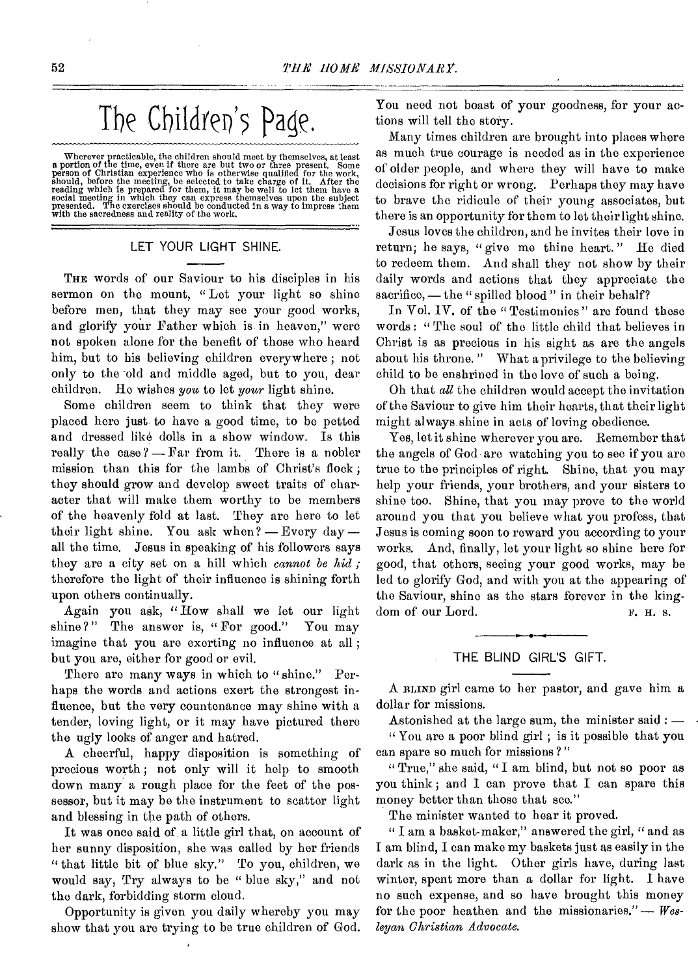# The Children's Page.

Wherever practicable, the children should meet by themselves, at least a portion of the time, even if there are but two or three present. Some person of Christian experience who is otherwise qualified for the work, should, before the meeting, be selected to take charge of it. After the reading which is prepared for them, it may be well to let them have a social meeting in which they can express themselves upon the subject presented.

## LET YOUR LIGHT SHINE.

THE words of our Saviour to his disciples in his sermon on the mount, "Lot your light so shine before men, that they may see your good works, and glorify your Father which is in heaven," were not spoken alone for the benefit of those who heard him, but to his believing children everywhere ; not only to the old and middle aged, but to you, dear children. Ho wishes *you* to let *your* light shine.

Some children seem to think that they were placed here just to have a good time, to be petted and dressed like dolls in a show window. Is this really the case? - Far from it. There is a nobler mission than this for the lambs of Christ's flock ; they should grow and develop sweet traits of character that will make them worthy to be members of the heavenly fold at last. They arc here to let their light shine. You ask when? — Every day all the time. Jesus in speaking of his followers says they are a city set on a hill which *cannot be hid ;*  therefore the light of their influence is shining forth upon others continually.

Again you ask, "How shall we let our light shine?" The answer is, "For good." You may imagine that you are exerting no influence at all ; but you are, either for good or evil.

There are many ways in which to "shine." Perhaps the words and actions exert the strongest influence, but the very countenance may shine with a tender, loving light, or it may have pictured there the ugly looks of anger and hatred.

A cheerful, happy disposition is something of precious worth ; not only will it help to smooth down many a rough place for the feet of the possessor, but it may be the instrument to scatter light and blessing in the path of others.

It was once said of, a little girl that, on account of her sunny disposition, she was called by her friends " that little bit of blue sky." To you, children, we would say, Try always to be " blue sky," and not the dark, forbidding storm cloud.

Opportunity is given you daily whereby you may show that you aro trying to be true children of God. You need not boast of your goodness, for your actions will tell the story.

Many times children are brought into places where as much true courage is needed as in the experience of older people, and where they will have to make decisions for right or wrong. Perhaps they may have to brave the ridicule of their young associates, but there is an opportunity for them to let their light shine.

Jesus loves the children, and he invites their love in return; he says, " give me thine heart. " He died to redeem them. And shall they not show by their daily words and actions that they appreciate the sacrifice, — the " spilled blood " in their behalf?

In Vol. IV. of the "Testimonies" are found these words : " The soul of the little child that believes in Christ is as precious in his sight as are the angels about his throne. " What a privilege to the believing child to be enshrined in the love of such a being.

Oh that *all* the children would accept the invitation of the Saviour to give him their hearts, that their light might always shine in acts of loving obedience.

Yes, let it shine wherever you are. Remember that the angels of God are watching you to see if you are true to the principles of right. Shine, that you may help your friends, your brothers, and your sisters to shine too. Shine, that you may prove to the world around you that you believe what you profess, that Jesus is coming soon to reward you according to your works. And, finally, let your light so shine here for good, that others, seeing your good works, may be led to glorify God, and with you at the appearing of the Saviour, shine as the stars forever in the kingdom of our Lord. F. H. s.

#### THE BLIND GIRL'S GIFT.

A BLIND girl came to her pastor, and gave him a dollar for missions.

Astonished at the large sum, the minister said : — " You are a poor blind girl ; is it possible that you can spare so much for missions ? "

" True," she said, " I am blind, but not so poor as you think ; and I can prove that I can spare this money better than those that see."

The minister wanted to hear it proved.

" I am a basket-maker," answered the girl, " and as I am blind, I can make my baskets just as easily in the dark as in the light. Other girls have, during last winter, spent more than a dollar for light. I have no such expense, and so have brought this money for the poor heathen and the missionaries." — *Wesleyan Christian Advocate.*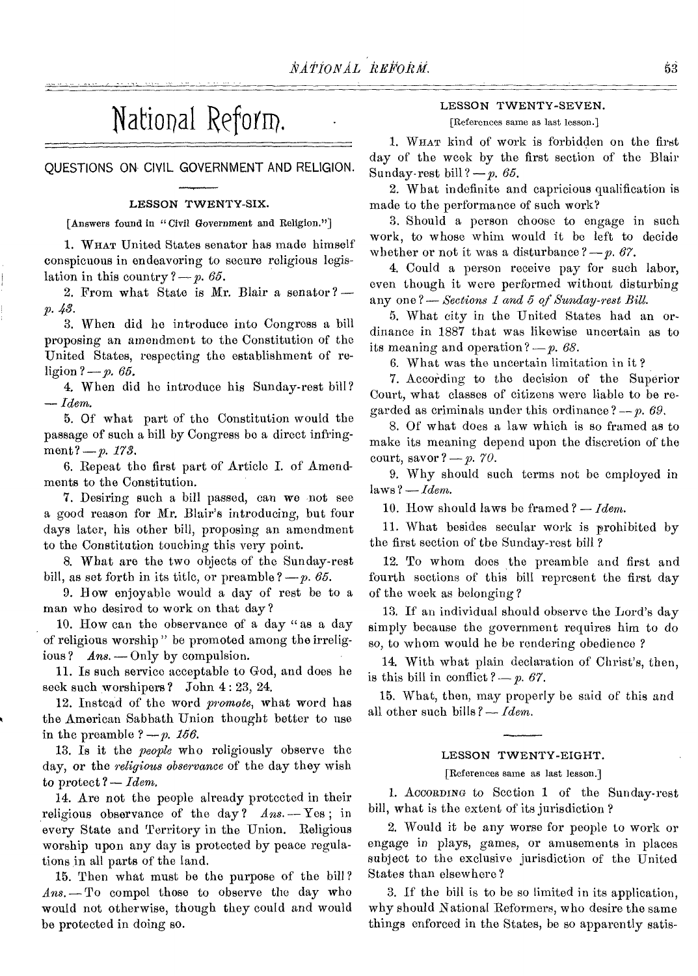## National Reform.

QUESTIONS ON CIVIL GOVERNMENT AND RELIGION.

#### LESSON TWENTY-SIX.

[Answers found in "Civil Government and Religion."]

1. WHAT United States senator has made himself conspicuous in endeavoring to secure religious legislation in this country  $?-p.65$ .

2. From what State is Mr. Blair a senator?  $$ p. 48.

3. When did he introduce into Congress a bill proposing an amendment to the Constitution of the United States, respecting the establishment of religion ?- p. 65.

4. When did he introduce his Sunday-rest bill? *Idem.* 

5. Of what part of the Constitution would the passage of such a bill by Congress be a direct infringment? - p. 173.

6. Repeat the first part of Article I. of Amendments to the Constitution.

7. Desiring such a bill passed, can we not see a good reason for Mr. Blair's introducing, but four days later, his other bill, proposing an amendment to the Constitution touching this very point.

8. What are the two objects of the Sunday-rest bill, as set forth in its title, or preamble  $?-p.65$ .

9. Bow enjoyable would a day of rest be to a man who desired to work on that day ?

10. How can the observance of a day " as a day of religious worship " be promoted among the irreligious? *Ans.* - Only by compulsion.

11. Is such service acceptable to God, and does he seek such worshipers ? John 4 : 23, 24.

12. Instead of the word *promote,* what word has the American Sabbath Union thought better to use in the preamble  $?-p. 156$ .

13. Is it the *people* who religiously observe the day, or the *religious observance* of the day they wish to protect? - *Idem.* 

14. Are not the people already protected in their religious observance of the day?  $Ans. -Yes;$  in every State and Territory in the Union. Religious worship upon any day is protected by peace regulations in all parts of the land.

15. Then what must be the purpose of the bill ? *Ans. - To* compel those to observe the day who would not otherwise, though they could and would be protected in doing so.

## LESSON TWENTY-SEVEN.

[References same as last lesson.]

1. WHAT kind of work is forbidden on the first day of the week by the first section of the Blair Sunday-rest bill?  $-p$ . 65.

2. What indefinite and capricious qualification is made to the performance of such work?

3. Should a person choose to engage in such work, to whose whim would it be left to decide whether or not it was a disturbance  $?-p. 67$ .

4. Could a person receive pay for such labor, even though it were performed without disturbing any one ?- *Sections 1 and 5 of Sunday-rest Bill.* 

5. What city in the United States had an ordinance in 1887 that was likewise uncertain as to its meaning and operation  $?-p. 68$ .

6. What was the uncertain limitation in it ?

7. According to the decision of the Superior Court, what classes of citizens were liable to be regarded as criminals under this ordinance? *-- p. 69.* 

8. Of what does a law which is so framed as to make its meaning depend upon the discretion of the court, savor  $? - p. 70$ .

9. Why should such terms not be employed in  $l$ aws? — *Idem.* 

10. How should laws be framed  $? - Idem$ .

11. What besides secular work is prohibited by the first section of the Sunday-rest bill ?

12. To whom does the preamble and first and fourth sections of this bill represent the first day of the week as belonging?

13. If an individual should observe the Lord's day simply because the government requires him to do so, to whom would he be rendering obedience ?

14. With what plain declaration of Christ's, then, is this bill in conflict  $? - p. 67$ .

15. What, then, may properly be said of this and all other such bills ?- *Idem*.

#### LESSON TWENTY-EIGHT.

#### [References same as last lesson.]

1. ACCORDING to Section 1 of the Sunday-rest bill, what is the extent of its jurisdiction ?

2. Would it be any worse for people to work or engage in plays, games, or amusements in places subject to the exclusive jurisdiction of the United States than elsewhere ?

3. If the bill is to be so limited in its application, why should National Reformers, who desire the same things enforced in the States, be so apparently satis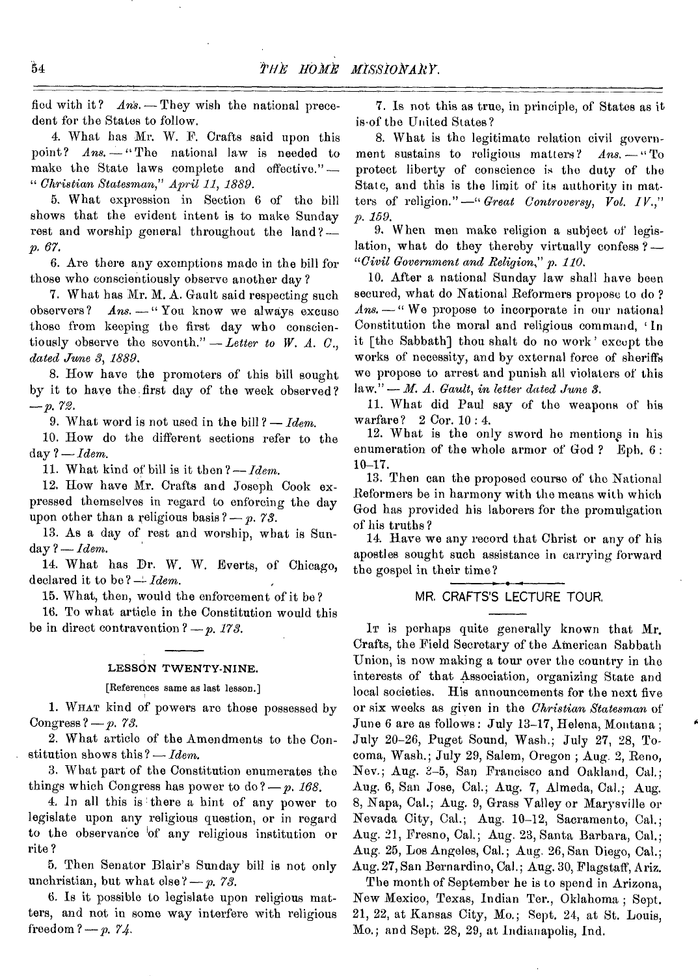fied with it?  $Ans. -$  They wish the national precedent for the States to follow.

4. What has Mr. W. F. Crafts said upon this point? *Ans.* - "The national law is needed to make the State laws complete and effective."— "*Christian Statesman," April 11, 1889.* 

5. What expression in Section 6 of the bill shows that the evident intent is to make Sunday rest and worship general throughout the land?-*/9. 67.* 

6. Are there any exemptions made in the bill for those who conscientiously observe another day ?

7. What has Mr. M. A. Gault said respecting such observers?  $Ans. -$  "You know we always excuse Ans. - " You know we always excuse those from keeping the first day who conscientiously observe the seventh."  $-$  Letter to W. A. C., *dated June 8, 1889.* 

8. How have the promoters of this bill sought by it to have the first day of the week observed? *—p.* 72.

9. What word is not used in the bill ?— *Idem.* 

10. How do the different sections refer to the day *?—Idem.* 

11. What kind of bill is it then ?— *Idem.* 

12. How have Mr. Crafts and Joseph Cook expressed themselves in regard to enforcing the day upon other than a religious basis 7— *p. 73.* 

13. As a day of rest and worship, what is Sunday 7— *Idem.* 

14. What has Dr. W. W. Everts, of Chicago, declared it to be?  $\div$  *Idem.* 

15. What, then, would the enforcement of it be ?

16. To what article in the Constitution would this be in direct contravention  $? - p$ . 173.

#### LESSON TWENTY-NINE.

[References same as last lesson.]

1. WHAT kind of powers aro those possessed by Congress ?— *p. 78.* 

2. What article of the Amendments to the Constitution shows this ?— *Idem.* 

3. What part of the Constitution enumerates the things which Congress has power to do ?— *p. 168.* 

4. In all this is there a hint of any power to legislate upon any religious question, or in regard to the observance 'of any religious institution or rite ?

5. Then Senator Blair's Sunday bill is not only unchristian, but what else ?— *p. 73.* 

6. Is it possible to legislate upon religious matters, and not in some way interfere with religious freedom ? *p. 74.* 

7. Is not this as true, in principle, of States as it is.of the United States?

8. What is the legitimate relation civil government sustains to religious matters? *Ans. —"To*  protect liberty of conscience is the duty of the State, and this is the limit of its authority in matters of religion." —" *Great Controversy, Vol. IV.," p. 159.* 

9. When men make religion a subject of legislation, what do they thereby virtually confess ?— *"Civil Government and Religion," p. .110.* 

10. After a national Sunday law shall have been secured, what do National Reformers propose to do ? *Ans. —"* We propose to incorporate in our national Constitution the moral and religious command, In it [the Sabbath] thou shalt do no work' except the works of necessity, and by external force of sheriffs we propose to arrest and punish all violaters of this law." — *M. A. Gault, in letter dated June 8.* 

11. What did Paul say of the weapons of his warfare? 2 Cor. 10 : 4.

12. What is the only sword he mentions in his enumeration of the whole armor of God ? Eph. 6 : 10-17.

13. Then can the proposed course of the National Reformers be in harmony with the means with which God has provided his laborers for the promulgation of his truths?

14. Have we any record that Christ or any of his apostles sought such assistance in carrying forward the gospel in their time?

## MR. CRAFTS'S LECTURE TOUR.

IT is perhaps quite generally known that Mr. Crafts, the Field Secretary of the American Sabbath Union, is now making a tour over the country in the interests of that Association, organizing State and local societies. His announcements for the next five or six weeks as given in the *Christian Statesman* of June 6 are as follows : July 13-17, Helena, Montana ; July 20-26, Puget Sound, Wash.; July 27, 28, Tocoma, Wash.; July 29, Salem, Oregon ; Aug. 2, Reno, Nev.; Aug. 3-5, San Francisco and Oakland, Cal.; Aug. 6, San Jose, Cal.; Aug. 7, Almeda, Cal.; Aug. 8, Napa, Cal.; Aug. 9, Grass Valley or Marysville or Nevada City, Cal.; Aug. 10-12, Sacramento, Cal.; Aug. 21, Fresno, Cal.; Aug. 23, Santa Barbara, Cal.; Aug. 25, Los Angeles, Cal.; Aug. 26, San Diego, Cal.; Aug. 27, San Bernardino, Cal.; Aug. 30, Flagstaff, Ariz.

The month of September he is to spend in Arizona, New Mexico, Texas, Indian Tor., Oklahoma ; Sept. 21, 22, at Kansas City, Mo.; Sept. 24, at St. Louis, Mo.; and Sept. 28, 29, at Indianapolis, Ind.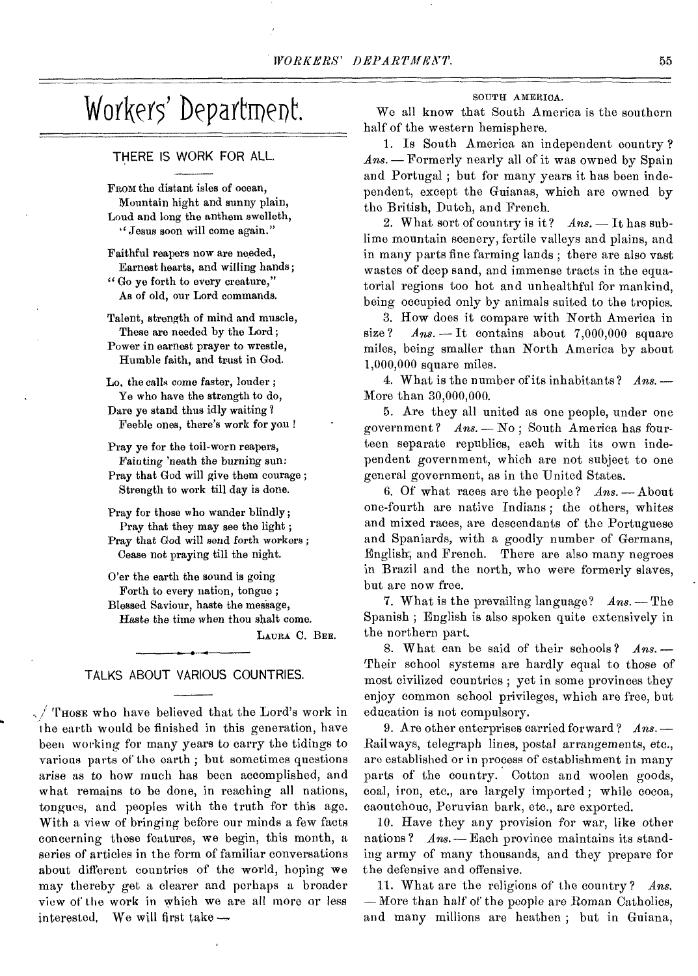## Workers' Department.

#### THERE IS WORK FOR ALL.

FROM the distant isles of ocean, Mountain hight and sunny plain, Loud and long the anthem swelleth, " Jesus soon will come again."

Faithful reapers now are needed, Earnest hearts, and willing hands; " Go ye forth to every creature," As of old, our Lord commands.

Talent, strength of mind and muscle, These are needed by the Lord ; Power in earnest prayer to wrestle, Humble faith, and trust in God.

Lo, the calls come faster, louder ; Ye who have the strength to do, Dare ye stand thus idly waiting ? Feeble ones, there's work for you !

Pray ye for the toil-worn reapers, Fainting 'neath the burning sun: Pray that God will give them courage ; Strength to work till day is done.

Pray for those who wander blindly; Pray that they may see the light ; Pray that God will send forth workers ; Cease not praying till the night.

O'er the earth the sound is going Forth to every nation, tongue ; Blessed Saviour, haste the message, Haste the time when thou shalt come.

LAURA C. BEE.

#### TALKS ABOUT VARIOUS COUNTRIES.

 $\sqrt{\text{T}}$  Those who have believed that the Lord's work in the earth would be finished in this generation, have been working for many years to carry the tidings to various parts of the earth ; but sometimes questions arise as to how much has been accomplished, and what remains to be done, in reaching all nations, tongues, and peoples with the truth for this age. With a view of bringing before our minds a few facts concerning these features, we begin, this month, a series of articles in the form of familiar conversations about different countries of the world, hoping we may thereby got a clearer and perhaps a broader view of the work in which we are all more or less interested, We will first take

#### SOUTH AMERICA.

We all know that South America is the southern half of the western hemisphere.

1. Is South America an independent country ? *Ans. — Formerly* nearly all of it was owned by Spain and Portugal ; but for many years it has been independent, except the Guianas, which are owned by the British, Dutch, and French.

2. What sort of country is it? *Ans. —* It has sublime mountain scenery, fertile valleys and plains, and in many parts fine farming lands ; there are also vast wastes of deep sand, and immense tracts in the equatorial regions too hot and unhealthful for mankind, being occupied only by animals suited to the tropics.

3. How does it compare with North America in size?  $Ans. - It contains about 7,000,000 square$ miles, being smaller than North America by about 1,000,000 square miles.

4. What is the number of its inhabitants? *Ans.* — More than 30,000,000.

5. Are they all united as one people, under one government ? *Ans. —* No ; South America has fourteen separate republics, each with its own independent government, which are not subject to one general government, as in the United States.

6. Of what races are the people? *Ans. —* About one-fourth are native Indians ; the others, whites and mixed races, are descendants of the Portuguese and Spaniards, with a goodly number of Germans, English, and French. There are also many negroes in Brazil and the north, who were formerly slaves, but are now free.

7. What is the prevailing language? *Ans. —* The Spanish ; English is also spoken quite extensively in the northern part.

8. What can be said of their schools ? *Ans.* — Their school systems are hardly equal to those of most civilized countries ; yet in some provinces they enjoy common school privileges, which are free, but education is not compulsory.

9. Are other enterprises carried forward ? *Ans.* — Railways, telegraph lines, postal arrangements, etc., are established or in process of establishment in many parts of the country. Cotton and woolen goods, coal, iron, etc., are largely imported ; while cocoa, caoutchouc, Peruvian bark, etc., are exported.

10. Have they any provision for war, like other nations? *Ans.* - Each province maintains its standing army of many thousands, and they prepare for the defensive and offensive.

11. What are the religions of the country? *Ans.*  — More than half of the people are Roman Catholics, and many millions are heathen ; but in Guiana,